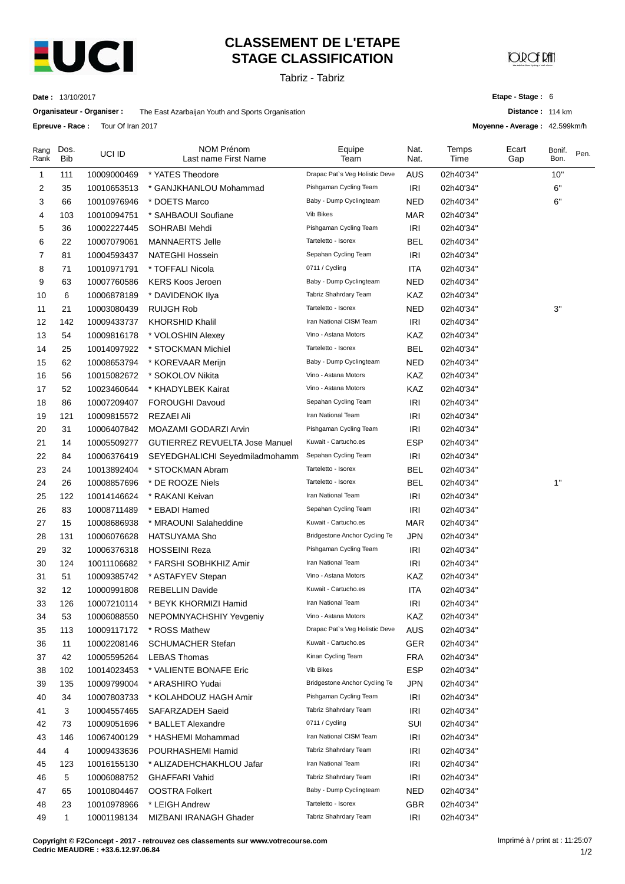

**Epreuve - Race :** Tour Of Iran 2017

## **CLASSEMENT DE L'ETAPE STAGE CLASSIFICATION**

Tabriz - Tabriz

**CORCE PM** 

**Date :** 13/10/2017

**Organisateur - Organiser :** The East Azarbaijan Youth and Sports Organisation

**Etape - Stage :** 6

**Distance :** 114 km

**Moyenne - Average :** 42.599km/h

| Rang<br>Rank | Dos.<br><b>Bib</b> | UCI ID      | <b>NOM Prénom</b><br>Last name First Name | Equipe<br>Team                 | Nat.<br>Nat. | Temps<br>Time | Ecart<br>Gap | Bonif.<br>Bon. | Pen. |
|--------------|--------------------|-------------|-------------------------------------------|--------------------------------|--------------|---------------|--------------|----------------|------|
| 1            | 111                | 10009000469 | * YATES Theodore                          | Drapac Pat's Veg Holistic Deve | <b>AUS</b>   | 02h40'34"     |              | 10"            |      |
| 2            | 35                 | 10010653513 | * GANJKHANLOU Mohammad                    | Pishgaman Cycling Team         | IRI          | 02h40'34"     |              | 6"             |      |
| 3            | 66                 | 10010976946 | * DOETS Marco                             | Baby - Dump Cyclingteam        | NED          | 02h40'34"     |              | 6"             |      |
| 4            | 103                | 10010094751 | * SAHBAOUI Soufiane                       | <b>Vib Bikes</b>               | <b>MAR</b>   | 02h40'34"     |              |                |      |
| 5            | 36                 | 10002227445 | SOHRABI Mehdi                             | Pishgaman Cycling Team         | IRI          | 02h40'34"     |              |                |      |
| 6            | 22                 | 10007079061 | <b>MANNAERTS Jelle</b>                    | Tarteletto - Isorex            | <b>BEL</b>   | 02h40'34"     |              |                |      |
| 7            | 81                 | 10004593437 | NATEGHI Hossein                           | Sepahan Cycling Team           | <b>IRI</b>   | 02h40'34"     |              |                |      |
| 8            | 71                 | 10010971791 | * TOFFALI Nicola                          | 0711 / Cycling                 | <b>ITA</b>   | 02h40'34"     |              |                |      |
| 9            | 63                 | 10007760586 | <b>KERS Koos Jeroen</b>                   | Baby - Dump Cyclingteam        | NED          | 02h40'34"     |              |                |      |
| 10           | 6                  | 10006878189 | * DAVIDENOK Ilya                          | Tabriz Shahrdary Team          | KAZ          | 02h40'34"     |              |                |      |
| 11           | 21                 | 10003080439 | <b>RUIJGH Rob</b>                         | Tarteletto - Isorex            | <b>NED</b>   | 02h40'34"     |              | 3"             |      |
| 12           | 142                | 10009433737 | <b>KHORSHID Khalil</b>                    | Iran National CISM Team        | IRI          | 02h40'34"     |              |                |      |
| 13           | 54                 | 10009816178 | * VOLOSHIN Alexey                         | Vino - Astana Motors           | KAZ          | 02h40'34"     |              |                |      |
| 14           | 25                 | 10014097922 | * STOCKMAN Michiel                        | Tarteletto - Isorex            | <b>BEL</b>   | 02h40'34"     |              |                |      |
| 15           | 62                 | 10008653794 | * KOREVAAR Merijn                         | Baby - Dump Cyclingteam        | <b>NED</b>   | 02h40'34"     |              |                |      |
| 16           | 56                 | 10015082672 | * SOKOLOV Nikita                          | Vino - Astana Motors           | KAZ          | 02h40'34"     |              |                |      |
| 17           | 52                 | 10023460644 | * KHADYLBEK Kairat                        | Vino - Astana Motors           | KAZ          | 02h40'34"     |              |                |      |
| 18           | 86                 | 10007209407 | FOROUGHI Davoud                           | Sepahan Cycling Team           | <b>IRI</b>   | 02h40'34"     |              |                |      |
| 19           | 121                | 10009815572 | <b>REZAEI Ali</b>                         | Iran National Team             | IRI          | 02h40'34"     |              |                |      |
| 20           | 31                 | 10006407842 | MOAZAMI GODARZI Arvin                     | Pishgaman Cycling Team         | <b>IRI</b>   | 02h40'34"     |              |                |      |
| 21           | 14                 | 10005509277 | <b>GUTIERREZ REVUELTA Jose Manuel</b>     | Kuwait - Cartucho.es           | <b>ESP</b>   | 02h40'34"     |              |                |      |
| 22           | 84                 | 10006376419 | SEYEDGHALICHI Seyedmiladmohamm            | Sepahan Cycling Team           | <b>IRI</b>   | 02h40'34"     |              |                |      |
| 23           | 24                 | 10013892404 | * STOCKMAN Abram                          | Tarteletto - Isorex            | BEL          | 02h40'34"     |              |                |      |
| 24           | 26                 | 10008857696 | * DE ROOZE Niels                          | Tarteletto - Isorex            | <b>BEL</b>   | 02h40'34"     |              | 1"             |      |
| 25           | 122                | 10014146624 | * RAKANI Keivan                           | Iran National Team             | <b>IRI</b>   | 02h40'34"     |              |                |      |
| 26           | 83                 | 10008711489 | * EBADI Hamed                             | Sepahan Cycling Team           | <b>IRI</b>   | 02h40'34"     |              |                |      |
| 27           | 15                 | 10008686938 | * MRAOUNI Salaheddine                     | Kuwait - Cartucho.es           | <b>MAR</b>   | 02h40'34"     |              |                |      |
| 28           | 131                | 10006076628 | <b>HATSUYAMA Sho</b>                      | Bridgestone Anchor Cycling Te  | <b>JPN</b>   | 02h40'34"     |              |                |      |
| 29           | 32                 | 10006376318 | <b>HOSSEINI Reza</b>                      | Pishgaman Cycling Team         | <b>IRI</b>   | 02h40'34"     |              |                |      |
| 30           | 124                | 10011106682 | * FARSHI SOBHKHIZ Amir                    | Iran National Team             | <b>IRI</b>   | 02h40'34"     |              |                |      |
| 31           | 51                 | 10009385742 | * ASTAFYEV Stepan                         | Vino - Astana Motors           | KAZ          | 02h40'34"     |              |                |      |
| 32           | 12                 | 10000991808 | <b>REBELLIN Davide</b>                    | Kuwait - Cartucho.es           | <b>ITA</b>   | 02h40'34"     |              |                |      |
| 33           | 126                | 10007210114 | * BEYK KHORMIZI Hamid                     | Iran National Team             | IRI          | 02h40'34"     |              |                |      |
| 34           | 53                 | 10006088550 | NEPOMNYACHSHIY Yevgeniy                   | Vino - Astana Motors           | KAZ          | 02h40'34"     |              |                |      |
| 35           | 113                | 10009117172 | * ROSS Mathew                             | Drapac Pat's Veg Holistic Deve | <b>AUS</b>   | 02h40'34"     |              |                |      |
| 36           | 11                 | 10002208146 | <b>SCHUMACHER Stefan</b>                  | Kuwait - Cartucho.es           | <b>GER</b>   | 02h40'34"     |              |                |      |
| 37           | 42                 | 10005595264 | <b>LEBAS Thomas</b>                       | Kinan Cycling Team             | <b>FRA</b>   | 02h40'34"     |              |                |      |
| 38           | 102                | 10014023453 | * VALIENTE BONAFE Eric                    | Vib Bikes                      | <b>ESP</b>   | 02h40'34"     |              |                |      |
| 39           | 135                | 10009799004 | * ARASHIRO Yudai                          | Bridgestone Anchor Cycling Te  | <b>JPN</b>   | 02h40'34"     |              |                |      |
| 40           | 34                 | 10007803733 | * KOLAHDOUZ HAGH Amir                     | Pishgaman Cycling Team         | IRI          | 02h40'34"     |              |                |      |
| 41           | 3                  | 10004557465 | SAFARZADEH Saeid                          | Tabriz Shahrdary Team          | <b>IRI</b>   | 02h40'34"     |              |                |      |
| 42           | 73                 | 10009051696 | * BALLET Alexandre                        | 0711 / Cycling                 | SUI          | 02h40'34"     |              |                |      |
| 43           | 146                | 10067400129 | * HASHEMI Mohammad                        | Iran National CISM Team        | <b>IRI</b>   | 02h40'34"     |              |                |      |
| 44           | 4                  | 10009433636 | POURHASHEMI Hamid                         | Tabriz Shahrdary Team          | <b>IRI</b>   | 02h40'34"     |              |                |      |
| 45           | 123                | 10016155130 | * ALIZADEHCHAKHLOU Jafar                  | Iran National Team             | IRI          | 02h40'34"     |              |                |      |
| 46           | 5                  | 10006088752 | <b>GHAFFARI Vahid</b>                     | Tabriz Shahrdary Team          | <b>IRI</b>   | 02h40'34"     |              |                |      |
| 47           | 65                 | 10010804467 | OOSTRA Folkert                            | Baby - Dump Cyclingteam        | NED          | 02h40'34"     |              |                |      |
| 48           | 23                 | 10010978966 | * LEIGH Andrew                            | Tarteletto - Isorex            | <b>GBR</b>   | 02h40'34"     |              |                |      |
| 49           | 1                  | 10001198134 | MIZBANI IRANAGH Ghader                    | Tabriz Shahrdary Team          | IRI          | 02h40'34"     |              |                |      |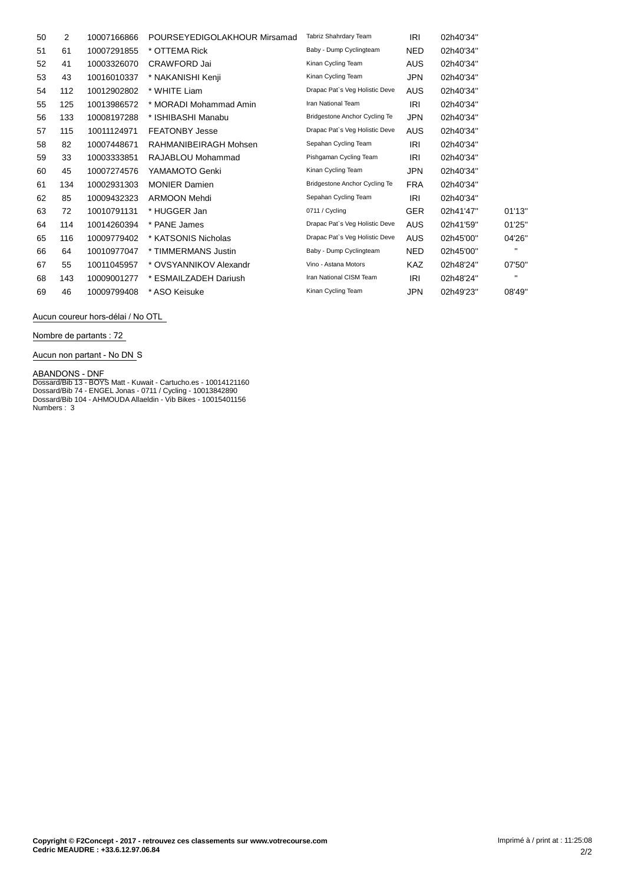| 50 | 2   | 10007166866 | POURSEYEDIGOLAKHOUR Mirsamad | Tabriz Shahrdary Team                | <b>IRI</b> | 02h40'34" |        |
|----|-----|-------------|------------------------------|--------------------------------------|------------|-----------|--------|
| 51 | 61  | 10007291855 | * OTTEMA Rick                | Baby - Dump Cyclingteam              | <b>NED</b> | 02h40'34" |        |
| 52 | 41  | 10003326070 | CRAWFORD Jai                 | Kinan Cycling Team                   | AUS        | 02h40'34" |        |
| 53 | 43  | 10016010337 | * NAKANISHI Kenji            | Kinan Cycling Team                   | JPN        | 02h40'34" |        |
| 54 | 112 | 10012902802 | * WHITE Liam                 | Drapac Pat's Veg Holistic Deve       | <b>AUS</b> | 02h40'34" |        |
| 55 | 125 | 10013986572 | * MORADI Mohammad Amin       | Iran National Team                   | IRI        | 02h40'34" |        |
| 56 | 133 | 10008197288 | * ISHIBASHI Manabu           | <b>Bridgestone Anchor Cycling Te</b> | JPN        | 02h40'34" |        |
| 57 | 115 | 10011124971 | <b>FEATONBY Jesse</b>        | Drapac Pat's Veg Holistic Deve       | AUS        | 02h40'34" |        |
| 58 | 82  | 10007448671 | RAHMANIBEIRAGH Mohsen        | Sepahan Cycling Team                 | IRI        | 02h40'34" |        |
| 59 | 33  | 10003333851 | RAJABLOU Mohammad            | Pishgaman Cycling Team               | IRI        | 02h40'34" |        |
| 60 | 45  | 10007274576 | YAMAMOTO Genki               | Kinan Cycling Team                   | JPN        | 02h40'34" |        |
| 61 | 134 | 10002931303 | <b>MONIER Damien</b>         | Bridgestone Anchor Cycling Te        | <b>FRA</b> | 02h40'34" |        |
| 62 | 85  | 10009432323 | <b>ARMOON Mehdi</b>          | Sepahan Cycling Team                 | IRI        | 02h40'34" |        |
| 63 | 72  | 10010791131 | * HUGGER Jan                 | 0711 / Cycling                       | <b>GER</b> | 02h41'47" | 01'13' |
| 64 | 114 | 10014260394 | * PANE James                 | Drapac Pat's Veg Holistic Deve       | <b>AUS</b> | 02h41'59" | 01'25' |
| 65 | 116 | 10009779402 | * KATSONIS Nicholas          | Drapac Pat's Veg Holistic Deve       | <b>AUS</b> | 02h45'00" | 04'26' |
| 66 | 64  | 10010977047 | * TIMMERMANS Justin          | Baby - Dump Cyclingteam              | NED.       | 02h45'00" |        |
| 67 | 55  | 10011045957 | * OVSYANNIKOV Alexandr       | Vino - Astana Motors                 | <b>KAZ</b> | 02h48'24" | 07'50' |
| 68 | 143 | 10009001277 | * ESMAILZADEH Dariush        | Iran National CISM Team              | IRI        | 02h48'24" |        |
| 69 | 46  | 10009799408 | * ASO Keisuke                | Kinan Cycling Team                   | JPN        | 02h49'23" | 08'49' |

Aucun coureur hors-délai / No OTL

**Nombre de partants : 72**

**Aucun non partant - No DN** S

**ABANDONS - DNF**<br>Dossard/Bib 13 - BOYS Matt - Kuwait - Cartucho.es - 10014121160<br>Dossard/Bib 74 - ENGEL Jonas - 0711 / Cycling - 10013842890<br>Dossard/Bib 104 - AHMOUDA Allaeldin - Vib Bikes - 10015401156<br>Numbers : 3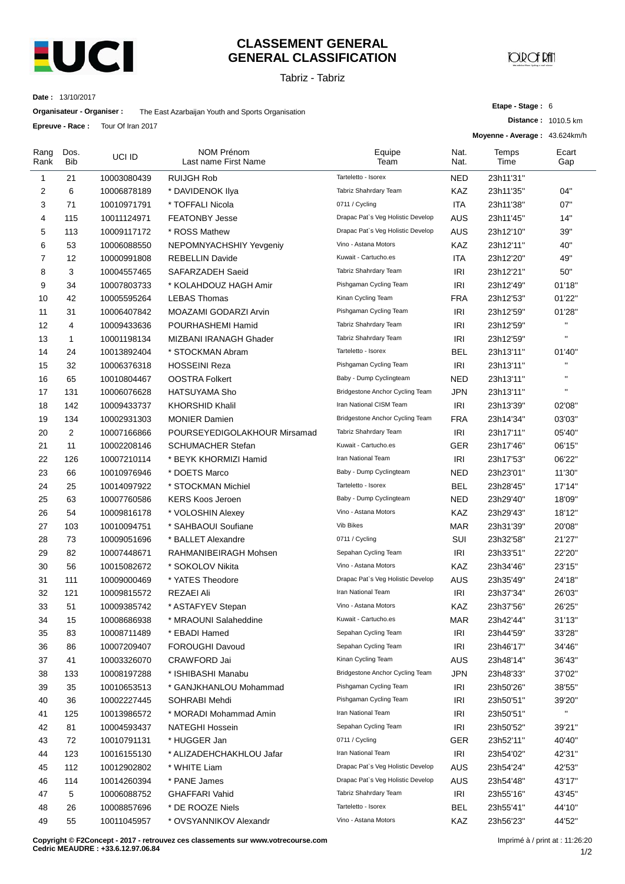

#### **CLASSEMENT GENERAL GENERAL CLASSIFICATION**

Tabriz - Tabriz

# **JOIR OF RAT**

**Etape - Stage :** 6

**Distance :** 1010.5 km

**Date :** 13/10/2017

**Organisateur - Organiser :** The East Azarbaijan Youth and Sports Organisation

**Epreuve - Race :** Tour Of Iran 2017

|              | LUI GUVG - NAUG .  | <b>TUUL OF HALLZUT</b> |                                           |                                   |              | Moyenne - Average: 43.624km/h |                    |
|--------------|--------------------|------------------------|-------------------------------------------|-----------------------------------|--------------|-------------------------------|--------------------|
| Rang<br>Rank | Dos.<br><b>Bib</b> | UCI ID                 | <b>NOM Prénom</b><br>Last name First Name | Equipe<br>Team                    | Nat.<br>Nat. | Temps<br>Time                 | Ecart<br>Gap       |
| 1            | 21                 | 10003080439            | <b>RUIJGH Rob</b>                         | Tarteletto - Isorex               | <b>NED</b>   | 23h11'31"                     |                    |
| 2            | 6                  | 10006878189            | * DAVIDENOK Ilya                          | Tabriz Shahrdary Team             | KAZ          | 23h11'35"                     | 04"                |
| 3            | 71                 | 10010971791            | * TOFFALI Nicola                          | 0711 / Cycling                    | ITA          | 23h11'38"                     | 07"                |
| 4            | 115                | 10011124971            | <b>FEATONBY Jesse</b>                     | Drapac Pat's Veg Holistic Develop | AUS          | 23h11'45"                     | 14"                |
| 5            | 113                | 10009117172            | * ROSS Mathew                             | Drapac Pat's Veg Holistic Develop | AUS          | 23h12'10"                     | 39"                |
| 6            | 53                 | 10006088550            | NEPOMNYACHSHIY Yevgeniy                   | Vino - Astana Motors              | KAZ          | 23h12'11"                     | 40"                |
| 7            | 12                 | 10000991808            | <b>REBELLIN Davide</b>                    | Kuwait - Cartucho.es              | <b>ITA</b>   | 23h12'20"                     | 49"                |
| 8            | 3                  | 10004557465            | SAFARZADEH Saeid                          | Tabriz Shahrdary Team             | <b>IRI</b>   | 23h12'21"                     | 50"                |
| 9            | 34                 | 10007803733            | * KOLAHDOUZ HAGH Amir                     | Pishgaman Cycling Team            | <b>IRI</b>   | 23h12'49"                     | 01'18"             |
| 10           | 42                 | 10005595264            | <b>LEBAS Thomas</b>                       | Kinan Cycling Team                | <b>FRA</b>   | 23h12'53"                     | 01'22"             |
| 11           | 31                 | 10006407842            | MOAZAMI GODARZI Arvin                     | Pishgaman Cycling Team            | IRI          | 23h12'59"                     | 01'28"             |
| 12           | 4                  | 10009433636            | POURHASHEMI Hamid                         | Tabriz Shahrdary Team             | IRI          | 23h12'59"                     | $\mathbf{H}$       |
| 13           | $\mathbf{1}$       | 10001198134            | MIZBANI IRANAGH Ghader                    | Tabriz Shahrdary Team             | IRI          | 23h12'59"                     | $\mathbf{u}$       |
| 14           | 24                 | 10013892404            | * STOCKMAN Abram                          | Tarteletto - Isorex               | BEL          | 23h13'11"                     | 01'40"             |
| 15           | 32                 | 10006376318            | <b>HOSSEINI Reza</b>                      | Pishgaman Cycling Team            | IRI          | 23h13'11"                     | $\mathbf{H}$       |
| 16           | 65                 | 10010804467            | <b>OOSTRA Folkert</b>                     | Baby - Dump Cyclingteam           | <b>NED</b>   | 23h13'11"                     | $\mathbf{H}$       |
| 17           | 131                | 10006076628            | HATSUYAMA Sho                             | Bridgestone Anchor Cycling Team   | <b>JPN</b>   | 23h13'11"                     | $\bar{\mathbf{u}}$ |
| 18           | 142                | 10009433737            | <b>KHORSHID Khalil</b>                    | Iran National CISM Team           | IRI          | 23h13'39"                     | 02'08"             |
| 19           | 134                | 10002931303            | <b>MONIER Damien</b>                      | Bridgestone Anchor Cycling Team   | <b>FRA</b>   | 23h14'34"                     | 03'03"             |
| 20           | 2                  | 10007166866            | POURSEYEDIGOLAKHOUR Mirsamad              | Tabriz Shahrdary Team             | IRI          | 23h17'11"                     | 05'40"             |
| 21           | 11                 | 10002208146            | <b>SCHUMACHER Stefan</b>                  | Kuwait - Cartucho.es              | <b>GER</b>   | 23h17'46"                     | 06'15"             |
| 22           | 126                | 10007210114            | * BEYK KHORMIZI Hamid                     | Iran National Team                | IRI          | 23h17'53"                     | 06'22"             |
| 23           | 66                 | 10010976946            | * DOETS Marco                             | Baby - Dump Cyclingteam           | NED          | 23h23'01"                     | 11'30"             |
| 24           | 25                 | 10014097922            | * STOCKMAN Michiel                        | Tarteletto - Isorex               | BEL          | 23h28'45"                     | 17'14"             |
| 25           | 63                 | 10007760586            | <b>KERS Koos Jeroen</b>                   | Baby - Dump Cyclingteam           | <b>NED</b>   | 23h29'40"                     | 18'09"             |
| 26           | 54                 | 10009816178            | * VOLOSHIN Alexey                         | Vino - Astana Motors              | KAZ          | 23h29'43"                     | 18'12"             |
| 27           | 103                | 10010094751            | * SAHBAOUI Soufiane                       | <b>Vib Bikes</b>                  | <b>MAR</b>   | 23h31'39"                     | 20'08"             |
| 28           | 73                 | 10009051696            | * BALLET Alexandre                        | 0711 / Cycling                    | SUI          | 23h32'58"                     | 21'27"             |
| 29           | 82                 | 10007448671            | RAHMANIBEIRAGH Mohsen                     | Sepahan Cycling Team              | IRI          | 23h33'51"                     | 22'20"             |
| 30           | 56                 | 10015082672            | * SOKOLOV Nikita                          | Vino - Astana Motors              | KAZ          | 23h34'46"                     | 23'15"             |
| 31           | 111                | 10009000469            | * YATES Theodore                          | Drapac Pat's Veg Holistic Develop | AUS          | 23h35'49"                     | 24'18"             |
| 32           | 121                | 10009815572            | <b>REZAEI Ali</b>                         | Iran National Team                | <b>IRI</b>   | 23h37'34"                     | 26'03"             |
| 33           | 51                 | 10009385742            | * ASTAFYEV Stepan                         | Vino - Astana Motors              | KAZ          | 23h37'56"                     | 26'25"             |
| 34           | 15                 | 10008686938            | * MRAOUNI Salaheddine                     | Kuwait - Cartucho.es              | <b>MAR</b>   | 23h42'44"                     | 31'13"             |
| 35           | 83                 | 10008711489            | * EBADI Hamed                             | Sepahan Cycling Team              | IRI          | 23h44'59"                     | 33'28"             |
| 36           | 86                 | 10007209407            | FOROUGHI Davoud                           | Sepahan Cycling Team              | IRI          | 23h46'17"                     | 34'46"             |
| 37           | 41                 | 10003326070            | CRAWFORD Jai                              | Kinan Cycling Team                | <b>AUS</b>   | 23h48'14"                     | 36'43"             |
| 38           | 133                | 10008197288            | * ISHIBASHI Manabu                        | Bridgestone Anchor Cycling Team   | <b>JPN</b>   | 23h48'33"                     | 37'02"             |
| 39           | 35                 | 10010653513            | * GANJKHANLOU Mohammad                    | Pishgaman Cycling Team            | IRI          | 23h50'26"                     | 38'55"             |
| 40           | 36                 | 10002227445            | SOHRABI Mehdi                             | Pishgaman Cycling Team            | <b>IRI</b>   | 23h50'51"                     | 39'20"             |
| 41           | 125                | 10013986572            | * MORADI Mohammad Amin                    | Iran National Team                | <b>IRI</b>   | 23h50'51"                     | $\mathbf{u}$       |
| 42           | 81                 | 10004593437            | NATEGHI Hossein                           | Sepahan Cycling Team              | <b>IRI</b>   | 23h50'52"                     | 39'21"             |
| 43           | 72                 | 10010791131            | * HUGGER Jan                              | 0711 / Cycling                    | <b>GER</b>   | 23h52'11"                     | 40'40"             |
| 44           | 123                | 10016155130            | * ALIZADEHCHAKHLOU Jafar                  | Iran National Team                | IRI          | 23h54'02"                     | 42'31"             |
| 45           | 112                | 10012902802            | * WHITE Liam                              | Drapac Pat's Veg Holistic Develop | AUS          | 23h54'24"                     | 42'53"             |
| 46           | 114                | 10014260394            | * PANE James                              | Drapac Pat's Veg Holistic Develop | AUS          | 23h54'48"                     | 43'17"             |
| 47           | 5                  | 10006088752            | <b>GHAFFARI Vahid</b>                     | Tabriz Shahrdary Team             | IRI          | 23h55'16"                     | 43'45"             |
| 48           | 26                 | 10008857696            | * DE ROOZE Niels                          | Tarteletto - Isorex               | BEL          | 23h55'41"                     | 44'10"             |
| 49           | 55                 | 10011045957            | * OVSYANNIKOV Alexandr                    | Vino - Astana Motors              | KAZ          | 23h56'23"                     | 44'52"             |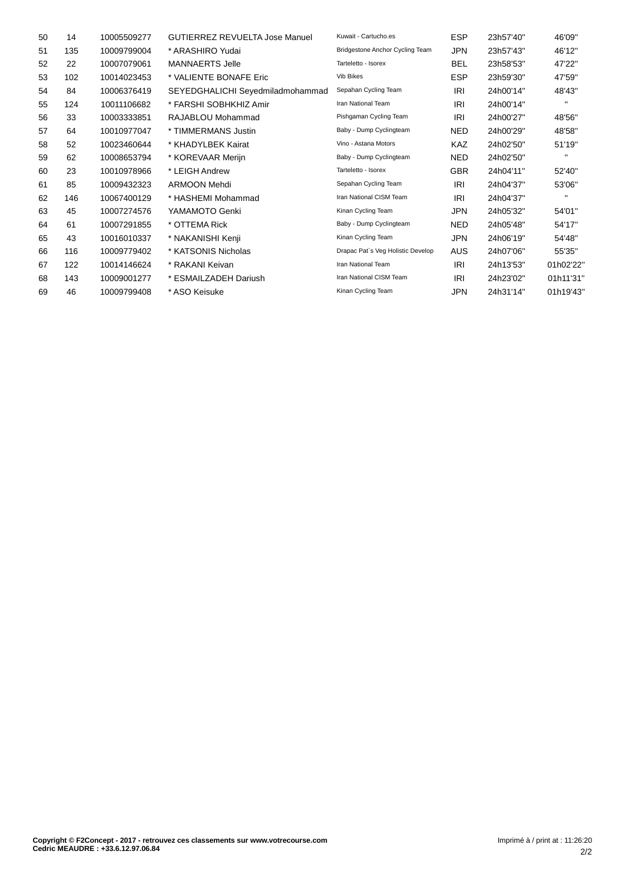| 50 | 14  | 10005509277 | <b>GUTIERREZ REVUELTA Jose Manuel</b> | Kuwait - Cartucho.es              | <b>ESP</b> | 23h57'40" | 46'09"       |
|----|-----|-------------|---------------------------------------|-----------------------------------|------------|-----------|--------------|
| 51 | 135 | 10009799004 | * ARASHIRO Yudai                      | Bridgestone Anchor Cycling Team   | <b>JPN</b> | 23h57'43" | 46'12"       |
| 52 | 22  | 10007079061 | <b>MANNAERTS Jelle</b>                | Tarteletto - Isorex               | <b>BEL</b> | 23h58'53" | 47'22"       |
| 53 | 102 | 10014023453 | * VALIENTE BONAFE Eric                | Vib Bikes                         | <b>ESP</b> | 23h59'30" | 47'59"       |
| 54 | 84  | 10006376419 | SEYEDGHALICHI Seyedmiladmohammad      | Sepahan Cycling Team              | <b>IRI</b> | 24h00'14" | 48'43"       |
| 55 | 124 | 10011106682 | * FARSHI SOBHKHIZ Amir                | Iran National Team                | IRI        | 24h00'14" | $\mathbf{H}$ |
| 56 | 33  | 10003333851 | RAJABLOU Mohammad                     | Pishgaman Cycling Team            | IRI        | 24h00'27" | 48'56"       |
| 57 | 64  | 10010977047 | * TIMMERMANS Justin                   | Baby - Dump Cyclingteam           | <b>NED</b> | 24h00'29" | 48'58"       |
| 58 | 52  | 10023460644 | * KHADYLBEK Kairat                    | Vino - Astana Motors              | <b>KAZ</b> | 24h02'50" | 51'19"       |
| 59 | 62  | 10008653794 | * KOREVAAR Merijn                     | Baby - Dump Cyclingteam           | <b>NED</b> | 24h02'50" | $\mathbf{u}$ |
| 60 | 23  | 10010978966 | * LEIGH Andrew                        | Tarteletto - Isorex               | <b>GBR</b> | 24h04'11" | 52'40"       |
| 61 | 85  | 10009432323 | <b>ARMOON Mehdi</b>                   | Sepahan Cycling Team              | IRI        | 24h04'37" | 53'06"       |
| 62 | 146 | 10067400129 | * HASHEMI Mohammad                    | Iran National CISM Team           | <b>IRI</b> | 24h04'37" | п.           |
| 63 | 45  | 10007274576 | YAMAMOTO Genki                        | Kinan Cycling Team                | <b>JPN</b> | 24h05'32" | 54'01"       |
| 64 | 61  | 10007291855 | * OTTEMA Rick                         | Baby - Dump Cyclingteam           | <b>NED</b> | 24h05'48" | 54'17"       |
| 65 | 43  | 10016010337 | * NAKANISHI Kenji                     | Kinan Cycling Team                | <b>JPN</b> | 24h06'19" | 54'48"       |
| 66 | 116 | 10009779402 | * KATSONIS Nicholas                   | Drapac Pat's Veg Holistic Develop | <b>AUS</b> | 24h07'06" | 55'35"       |
| 67 | 122 | 10014146624 | * RAKANI Keivan                       | Iran National Team                | IRI        | 24h13'53" | 01h02'22'    |
| 68 | 143 | 10009001277 | * ESMAILZADEH Dariush                 | Iran National CISM Team           | IRI        | 24h23'02" | 01h11'31'    |
| 69 | 46  | 10009799408 | * ASO Keisuke                         | Kinan Cycling Team                | <b>JPN</b> | 24h31'14" | 01h19'43'    |
|    |     |             |                                       |                                   |            |           |              |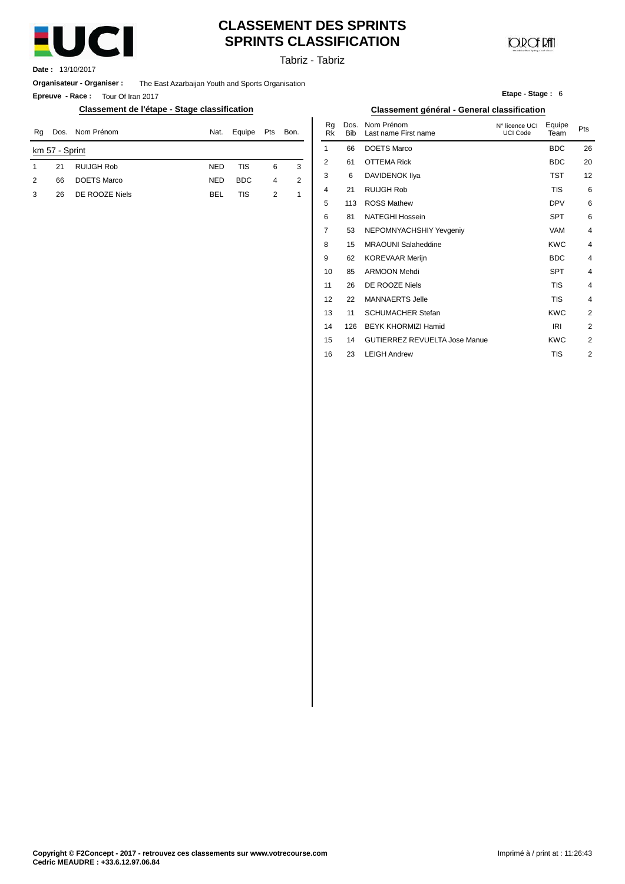

## **CLASSEMENT DES SPRINTS SPRINTS CLASSIFICATION**

Tabriz - Tabriz

**Date :** 13/10/2017

**Organisateur - Organiser :** The East Azarbaijan Youth and Sports Organisation

**Epreuve - Race :** Tour Of Iran 2017

#### **Classement de l'étape - Stage classification Classement général - General classification**

| Nom Prénom<br>Dos.<br>Ra |                | Nat.               | Equipe     | Pts        | Bon. | ĸq<br>Rk | DOS.<br><b>Bib</b> | Nom Prenom<br>Last name First name | N° licence UCI<br>UCI Code | Equipe<br>Team | Pts        |    |
|--------------------------|----------------|--------------------|------------|------------|------|----------|--------------------|------------------------------------|----------------------------|----------------|------------|----|
|                          | km 57 - Sprint |                    |            |            |      |          |                    | 66                                 | <b>DOETS Marco</b>         |                | <b>BDC</b> | 26 |
|                          | 21             | RUIJGH Rob         | <b>NED</b> | <b>TIS</b> | 6    | 3        | L                  | 61                                 | <b>OTTEMA Rick</b>         |                | <b>BDC</b> | 20 |
| 2                        | 66             | <b>DOETS Marco</b> | <b>NED</b> | <b>BDC</b> | 4    | 2        |                    | 6                                  | DAVIDENOK IIya             |                | TST        | 12 |
| 3                        | 26             | DE ROOZE Niels     | <b>BEL</b> | TIS        |      |          | 4                  | 21                                 | RUIJGH Rob                 |                | TIS        |    |
|                          |                |                    |            |            |      |          |                    |                                    |                            |                |            |    |

|      | ıssification |                |                |                 |                    | <b>Classement général - General classification</b> |                                   |                |                |
|------|--------------|----------------|----------------|-----------------|--------------------|----------------------------------------------------|-----------------------------------|----------------|----------------|
| Nat. | Equipe       | Pts            | Bon.           | Rg<br><b>Rk</b> | Dos.<br><b>Bib</b> | Nom Prénom<br>Last name First name                 | N° licence UCI<br><b>UCI Code</b> | Equipe<br>Team | Pts            |
|      |              |                |                | 1               | 66                 | <b>DOETS Marco</b>                                 |                                   | <b>BDC</b>     | 26             |
| NED  | <b>TIS</b>   | 6              | 3              | $\overline{2}$  | 61                 | <b>OTTEMA Rick</b>                                 |                                   | <b>BDC</b>     | 20             |
| NED  | <b>BDC</b>   | $\overline{4}$ | $\overline{2}$ | 3               | 6                  | DAVIDENOK IIya                                     |                                   | <b>TST</b>     | 12             |
| BEL  | TIS          | $\overline{2}$ | 1              | 4               | 21                 | <b>RUIJGH Rob</b>                                  |                                   | <b>TIS</b>     | 6              |
|      |              |                |                | 5               | 113                | <b>ROSS Mathew</b>                                 |                                   | <b>DPV</b>     | 6              |
|      |              |                |                | 6               | 81                 | <b>NATEGHI Hossein</b>                             |                                   | <b>SPT</b>     | 6              |
|      |              |                |                | 7               | 53                 | NEPOMNYACHSHIY Yevgeniy                            |                                   | <b>VAM</b>     | $\overline{4}$ |
|      |              |                |                | 8               | 15                 | <b>MRAOUNI Salaheddine</b>                         |                                   | <b>KWC</b>     | $\overline{4}$ |
|      |              |                |                | 9               | 62                 | <b>KOREVAAR Merijn</b>                             |                                   | <b>BDC</b>     | $\overline{4}$ |
|      |              |                |                | 10              | 85                 | <b>ARMOON Mehdi</b>                                |                                   | <b>SPT</b>     | $\overline{4}$ |
|      |              |                |                | 11              | 26                 | DE ROOZE Niels                                     |                                   | <b>TIS</b>     | $\overline{4}$ |
|      |              |                |                | 12              | 22                 | <b>MANNAERTS Jelle</b>                             |                                   | <b>TIS</b>     | $\overline{4}$ |
|      |              |                |                | 13              | 11                 | <b>SCHUMACHER Stefan</b>                           |                                   | <b>KWC</b>     | 2              |
|      |              |                |                | 14              | 126                | <b>BEYK KHORMIZI Hamid</b>                         |                                   | <b>IRI</b>     | $\overline{2}$ |
|      |              |                |                | 15              | 14                 | <b>GUTIERREZ REVUELTA Jose Manue</b>               |                                   | <b>KWC</b>     | $\overline{2}$ |
|      |              |                |                | 16              | 23                 | <b>LEIGH Andrew</b>                                |                                   | <b>TIS</b>     | $\overline{2}$ |

**Etape - Stage :** 6

**JOIR OF RATI**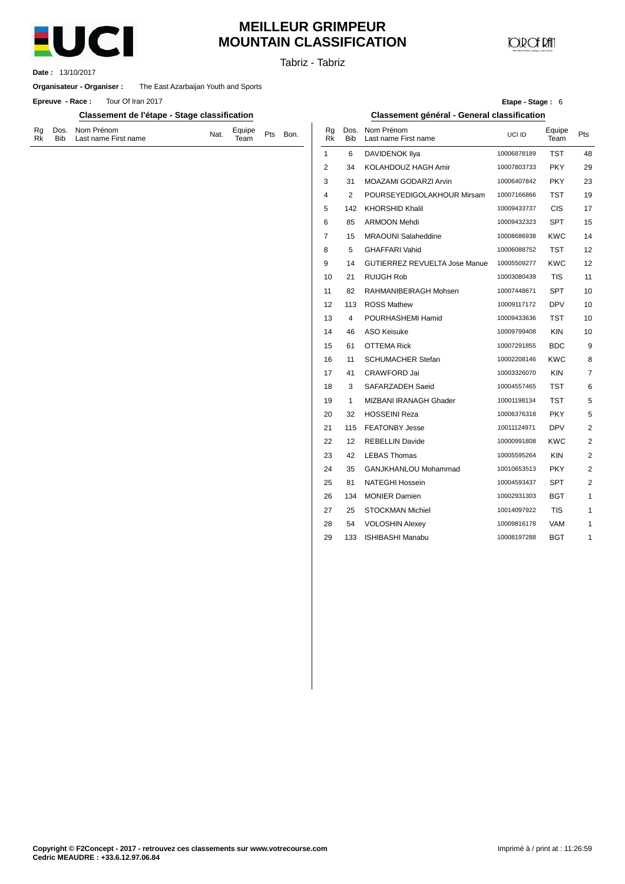

# **MEILLEUR GRIMPEUR MOUNTAIN CLASSIFICATION**

**JOIR OF RATI** 

Tabriz - Tabriz

13/10/2017 **Date :**

**Organisateur - Organiser :** The East Azarbaijan Youth and Sports

**Epreuve** - Race: Tour Of Iran 2017

**Classement de l'étape - Stage classification Classement général - General classification**

| Rk | Rg Dos. Nom Prénom<br>Bib Last name First name | Nat. | Equipe Pts Bon.<br>Team Pts Bon. |  |
|----|------------------------------------------------|------|----------------------------------|--|
|    |                                                |      |                                  |  |

|      |                 |                    |                                             | Etape - Stage: 6 |                |     |
|------|-----------------|--------------------|---------------------------------------------|------------------|----------------|-----|
|      |                 |                    | Classement général - General classification |                  |                |     |
| Bon. | Rg<br><b>Rk</b> | Dos.<br><b>Bib</b> | Nom Prénom<br>Last name First name          | UCI ID           | Equipe<br>Team | Pts |
|      | 1               | 6                  | <b>DAVIDENOK IIya</b>                       | 10006878189      | <b>TST</b>     | 48  |
|      | $\overline{2}$  | 34                 | KOLAHDOUZ HAGH Amir                         | 10007803733      | <b>PKY</b>     | 29  |
|      | 3               | 31                 | MOAZAMI GODARZI Arvin                       | 10006407842      | <b>PKY</b>     | 23  |
|      | 4               | $\overline{2}$     | POURSEYEDIGOLAKHOUR Mirsam                  | 10007166866      | TST            | 19  |
|      | 5               | 142                | <b>KHORSHID Khalil</b>                      | 10009433737      | <b>CIS</b>     | 17  |
|      | 6               | 85                 | <b>ARMOON Mehdi</b>                         | 10009432323      | SPT            | 15  |
|      | $\overline{7}$  | 15                 | <b>MRAOUNI Salaheddine</b>                  | 10008686938      | <b>KWC</b>     | 14  |
|      | 8               | 5                  | <b>GHAFFARI Vahid</b>                       | 10006088752      | TST            | 12  |
|      | 9               | 14                 | <b>GUTIERREZ REVUELTA Jose Manue</b>        | 10005509277      | <b>KWC</b>     | 12  |
|      | 10              | 21                 | <b>RUIJGH Rob</b>                           | 10003080439      | TIS            | 11  |
|      | 11              | 82                 | RAHMANIBEIRAGH Mohsen                       | 10007448671      | SPT            | 10  |
|      | 12              | 113                | <b>ROSS Mathew</b>                          | 10009117172      | <b>DPV</b>     | 10  |
|      | 13              | 4                  | POURHASHEMI Hamid                           | 10009433636      | TST            | 10  |
|      | 14              | 46                 | <b>ASO Keisuke</b>                          | 10009799408      | <b>KIN</b>     | 10  |
|      | 15              | 61                 | <b>OTTEMA Rick</b>                          | 10007291855      | <b>BDC</b>     | 9   |
|      | 16              | 11                 | <b>SCHUMACHER Stefan</b>                    | 10002208146      | <b>KWC</b>     | 8   |
|      | 17              | 41                 | <b>CRAWFORD Jai</b>                         | 10003326070      | <b>KIN</b>     | 7   |
|      | 18              | 3                  | SAFARZADEH Saeid                            | 10004557465      | TST            | 6   |
|      | 19              | 1                  | MIZBANI IRANAGH Ghader                      | 10001198134      | TST            | 5   |
|      | 20              | 32                 | <b>HOSSEINI Reza</b>                        | 10006376318      | <b>PKY</b>     | 5   |
|      | 21              | 115                | <b>FEATONBY Jesse</b>                       | 10011124971      | <b>DPV</b>     | 2   |
|      | 22              | 12                 | <b>REBELLIN Davide</b>                      | 10000991808      | <b>KWC</b>     | 2   |
|      | 23              | 42                 | <b>LEBAS Thomas</b>                         | 10005595264      | <b>KIN</b>     | 2   |
|      | 24              | 35                 | GANJKHANLOU Mohammad                        | 10010653513      | PKY.           | 2   |
|      | 25              | 81                 | <b>NATEGHI Hossein</b>                      | 10004593437      | SPT            | 2   |
|      | 26              | 134                | <b>MONIER Damien</b>                        | 10002931303      | BGT            | 1   |
|      | 27              | 25                 | <b>STOCKMAN Michiel</b>                     | 10014097922      | TIS            | 1   |
|      | 28              | 54                 | <b>VOLOSHIN Alexey</b>                      | 10009816178      | <b>VAM</b>     | 1   |
|      | 29              | 133                | <b>ISHIBASHI Manabu</b>                     | 10008197288      | BGT            | 1   |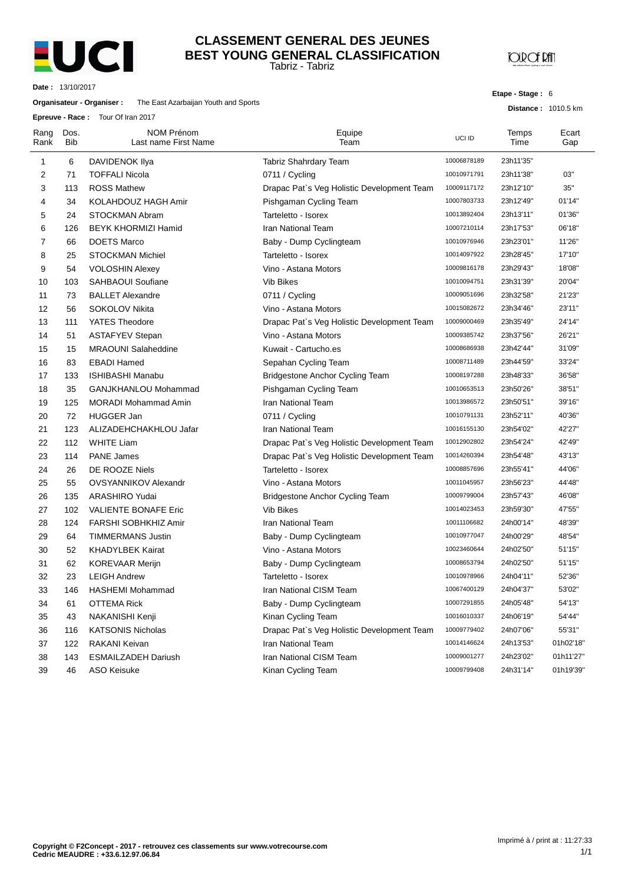

#### Tabriz - Tabriz **CLASSEMENT GENERAL DES JEUNES BEST YOUNG GENERAL CLASSIFICATION**

**JOROF RAT** 

**Etape - Stage :** 6

**Distance :** 1010.5 km

**Date :** 13/10/2017

#### **Organisateur - Organiser :** The East Azarbaijan Youth and Sports

**Epreuve - Race :** Tour Of Iran 2017

|              | Lpicuve - nace.<br><b>TUUL OF HALLZUT</b> |                                    |                                            |             |               |              |  |  |  |
|--------------|-------------------------------------------|------------------------------------|--------------------------------------------|-------------|---------------|--------------|--|--|--|
| Rang<br>Rank | Dos.<br><b>Bib</b>                        | NOM Prénom<br>Last name First Name | Equipe<br>Team                             | UCI ID      | Temps<br>Time | Ecart<br>Gap |  |  |  |
| 1            | 6                                         | DAVIDENOK Ilya                     | Tabriz Shahrdary Team                      | 10006878189 | 23h11'35"     |              |  |  |  |
| 2            | 71                                        | <b>TOFFALI Nicola</b>              | 0711 / Cycling                             | 10010971791 | 23h11'38"     | 03"          |  |  |  |
| 3            | 113                                       | <b>ROSS Mathew</b>                 | Drapac Pat's Veg Holistic Development Team | 10009117172 | 23h12'10"     | 35"          |  |  |  |
| 4            | 34                                        | KOLAHDOUZ HAGH Amir                | Pishgaman Cycling Team                     | 10007803733 | 23h12'49"     | 01'14"       |  |  |  |
| 5            | 24                                        | STOCKMAN Abram                     | Tarteletto - Isorex                        | 10013892404 | 23h13'11"     | 01'36"       |  |  |  |
| 6            | 126                                       | <b>BEYK KHORMIZI Hamid</b>         | Iran National Team                         | 10007210114 | 23h17'53"     | 06'18"       |  |  |  |
| 7            | 66                                        | <b>DOETS Marco</b>                 | Baby - Dump Cyclingteam                    | 10010976946 | 23h23'01"     | 11'26"       |  |  |  |
| 8            | 25                                        | <b>STOCKMAN Michiel</b>            | Tarteletto - Isorex                        | 10014097922 | 23h28'45"     | 17'10"       |  |  |  |
| 9            | 54                                        | <b>VOLOSHIN Alexey</b>             | Vino - Astana Motors                       | 10009816178 | 23h29'43"     | 18'08"       |  |  |  |
| 10           | 103                                       | <b>SAHBAOUI Soufiane</b>           | Vib Bikes                                  | 10010094751 | 23h31'39"     | 20'04"       |  |  |  |
| 11           | 73                                        | <b>BALLET Alexandre</b>            | 0711 / Cycling                             | 10009051696 | 23h32'58"     | 21'23"       |  |  |  |
| 12           | 56                                        | SOKOLOV Nikita                     | Vino - Astana Motors                       | 10015082672 | 23h34'46"     | 23'11"       |  |  |  |
| 13           | 111                                       | <b>YATES Theodore</b>              | Drapac Pat's Veg Holistic Development Team | 10009000469 | 23h35'49"     | 24'14"       |  |  |  |
| 14           | 51                                        | <b>ASTAFYEV Stepan</b>             | Vino - Astana Motors                       | 10009385742 | 23h37'56"     | 26'21"       |  |  |  |
| 15           | 15                                        | <b>MRAOUNI Salaheddine</b>         | Kuwait - Cartucho.es                       | 10008686938 | 23h42'44"     | 31'09"       |  |  |  |
| 16           | 83                                        | <b>EBADI Hamed</b>                 | Sepahan Cycling Team                       | 10008711489 | 23h44'59"     | 33'24"       |  |  |  |
| 17           | 133                                       | <b>ISHIBASHI Manabu</b>            | <b>Bridgestone Anchor Cycling Team</b>     | 10008197288 | 23h48'33"     | 36'58"       |  |  |  |
| 18           | 35                                        | GANJKHANLOU Mohammad               | Pishgaman Cycling Team                     | 10010653513 | 23h50'26"     | 38'51"       |  |  |  |
| 19           | 125                                       | <b>MORADI Mohammad Amin</b>        | <b>Iran National Team</b>                  | 10013986572 | 23h50'51"     | 39'16"       |  |  |  |
| 20           | 72                                        | <b>HUGGER Jan</b>                  | 0711 / Cycling                             | 10010791131 | 23h52'11"     | 40'36"       |  |  |  |
| 21           | 123                                       | ALIZADEHCHAKHLOU Jafar             | Iran National Team                         | 10016155130 | 23h54'02"     | 42'27"       |  |  |  |
| 22           | 112                                       | <b>WHITE Liam</b>                  | Drapac Pat's Veg Holistic Development Team | 10012902802 | 23h54'24"     | 42'49"       |  |  |  |
| 23           | 114                                       | <b>PANE James</b>                  | Drapac Pat's Veg Holistic Development Team | 10014260394 | 23h54'48"     | 43'13"       |  |  |  |
| 24           | 26                                        | DE ROOZE Niels                     | Tarteletto - Isorex                        | 10008857696 | 23h55'41"     | 44'06"       |  |  |  |
| 25           | 55                                        | <b>OVSYANNIKOV Alexandr</b>        | Vino - Astana Motors                       | 10011045957 | 23h56'23"     | 44'48"       |  |  |  |
| 26           | 135                                       | ARASHIRO Yudai                     | Bridgestone Anchor Cycling Team            | 10009799004 | 23h57'43"     | 46'08"       |  |  |  |
| 27           | 102                                       | <b>VALIENTE BONAFE Eric</b>        | <b>Vib Bikes</b>                           | 10014023453 | 23h59'30"     | 47'55"       |  |  |  |
| 28           | 124                                       | FARSHI SOBHKHIZ Amir               | <b>Iran National Team</b>                  | 10011106682 | 24h00'14"     | 48'39"       |  |  |  |
| 29           | 64                                        | <b>TIMMERMANS Justin</b>           | Baby - Dump Cyclingteam                    | 10010977047 | 24h00'29"     | 48'54"       |  |  |  |
| 30           | 52                                        | <b>KHADYLBEK Kairat</b>            | Vino - Astana Motors                       | 10023460644 | 24h02'50"     | 51'15"       |  |  |  |
| 31           | 62                                        | <b>KOREVAAR Merijn</b>             | Baby - Dump Cyclingteam                    | 10008653794 | 24h02'50"     | 51'15"       |  |  |  |
| 32           | 23                                        | <b>LEIGH Andrew</b>                | Tarteletto - Isorex                        | 10010978966 | 24h04'11"     | 52'36"       |  |  |  |
| 33           | 146                                       | HASHEMI Mohammad                   | Iran National CISM Team                    | 10067400129 | 24h04'37"     | 53'02"       |  |  |  |
| 34           | 61                                        | OTTEMA Rick                        | Baby - Dump Cyclingteam                    | 10007291855 | 24h05'48"     | 54'13"       |  |  |  |
| 35           | 43                                        | NAKANISHI Kenji                    | Kinan Cycling Team                         | 10016010337 | 24h06'19"     | 54'44"       |  |  |  |
| 36           | 116                                       | <b>KATSONIS Nicholas</b>           | Drapac Pat's Veg Holistic Development Team | 10009779402 | 24h07'06"     | 55'31"       |  |  |  |
| 37           | 122                                       | RAKANI Keivan                      | Iran National Team                         | 10014146624 | 24h13'53"     | 01h02'18"    |  |  |  |
| 38           | 143                                       | <b>ESMAILZADEH Dariush</b>         | Iran National CISM Team                    | 10009001277 | 24h23'02"     | 01h11'27"    |  |  |  |
| 39           | 46                                        | ASO Keisuke                        | Kinan Cycling Team                         | 10009799408 | 24h31'14"     | 01h19'39"    |  |  |  |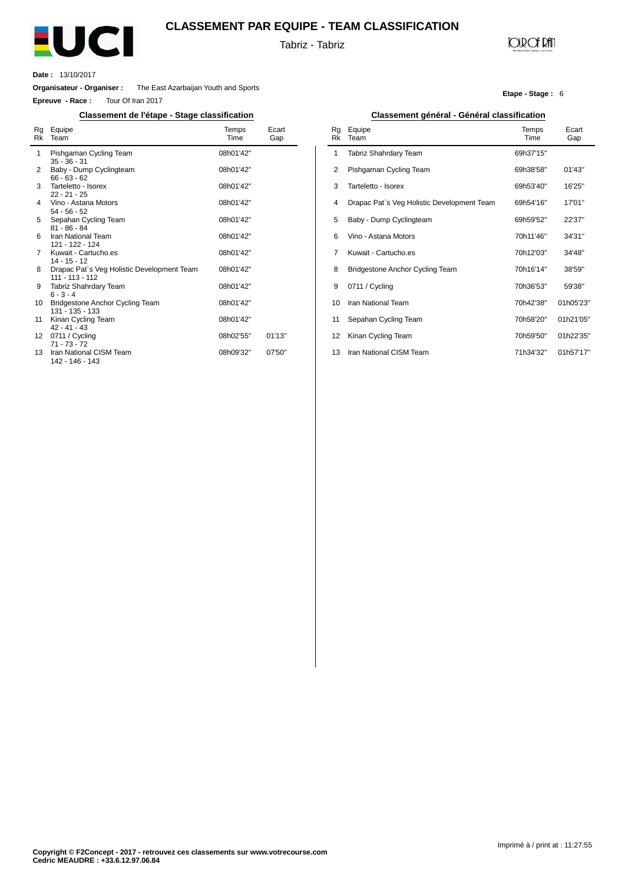

#### **CLASSEMENT PAR EQUIPE - TEAM CLASSIFICATION**

Tabriz - Tabriz

l,

### **JOIR OF RATI**

**Etape - Stage :** 6

**Date :** 13/10/2017

 $\overline{a}$ 

**Organisateur - Organiser :** The East Azarbaijan Youth and Sports

**Epreuve - Race :** Tour Of Iran 2017

| Rg<br>Rk        | Equipe<br>Team                                                  | Temps<br>Time | Ecart<br>Gap |
|-----------------|-----------------------------------------------------------------|---------------|--------------|
| 1               | Pishgaman Cycling Team<br>$35 - 36 - 31$                        | 08h01'42"     |              |
| 2               | Baby - Dump Cyclingteam<br>$66 - 63 - 62$                       | 08h01'42"     |              |
| 3               | Tarteletto - Isorex<br>$22 - 21 - 25$                           | 08h01'42"     |              |
| 4               | Vino - Astana Motors<br>$54 - 56 - 52$                          | 08h01'42"     |              |
| 5               | Sepahan Cycling Team<br>$81 - 86 - 84$                          | 08h01'42"     |              |
| 6               | Iran National Team<br>121 - 122 - 124                           | 08h01'42"     |              |
| 7               | Kuwait - Cartucho.es<br>$14 - 15 - 12$                          | 08h01'42"     |              |
| 8               | Drapac Pat's Veg Holistic Development Team<br>$111 - 113 - 112$ | 08h01'42"     |              |
| 9               | Tabriz Shahrdary Team<br>$6 - 3 - 4$                            | 08h01'42"     |              |
| 10              | <b>Bridgestone Anchor Cycling Team</b><br>$131 - 135 - 133$     | 08h01'42"     |              |
| 11              | Kinan Cycling Team<br>$42 - 41 - 43$                            | 08h01'42"     |              |
| 12 <sup>2</sup> | 0711 / Cycling<br>$71 - 73 - 72$                                | 08h02'55"     | 01'13"       |
| 13              | Iran National CISM Team<br>142 - 146 - 143                      | 08h09'32"     | 07'50"       |

#### **Classement de l'étape - Stage classification Classement général - Général classification**

| Rg<br>Rk | Equipe<br>Team                             | Temps<br>Time | Ecart<br>Gap |
|----------|--------------------------------------------|---------------|--------------|
| 1        | Tabriz Shahrdary Team                      | 69h37'15"     |              |
| 2        | Pishgaman Cycling Team                     | 69h38'58"     | 01'43"       |
| 3        | Tarteletto - Isorex                        | 69h53'40"     | 16'25"       |
| 4        | Drapac Pat's Veg Holistic Development Team | 69h54'16"     | 17'01"       |
| 5        | Baby - Dump Cyclingteam                    | 69h59'52"     | 22'37"       |
| 6        | Vino - Astana Motors                       | 70h11'46"     | 34'31"       |
| 7        | Kuwait - Cartucho.es                       | 70h12'03"     | 34'48"       |
| 8        | <b>Bridgestone Anchor Cycling Team</b>     | 70h16'14"     | 38'59"       |
| 9        | 0711 / Cycling                             | 70h36'53"     | 59'38"       |
| 10       | Iran National Team                         | 70h42'38"     | 01h05'23"    |
| 11       | Sepahan Cycling Team                       | 70h58'20"     | 01h21'05"    |
| 12       | Kinan Cycling Team                         | 70h59'50"     | 01h22'35"    |
| 13       | Iran National CISM Team                    | 71h34'32"     | 01h57'17"    |